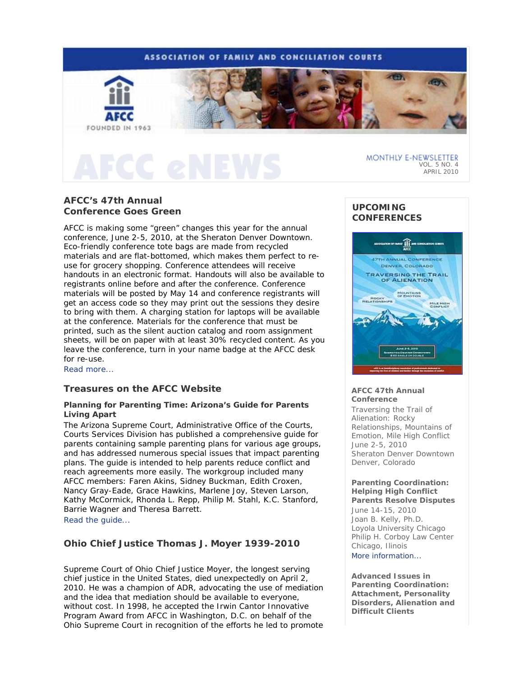# **ASSOCIATION OF FAMILY AND CONCILIATION COURTS**



# **AFCC's 47th Annual Conference Goes Green**

AFCC is making some "green" changes this year for the annual conference, June 2-5, 2010, at the Sheraton Denver Downtown. Eco-friendly conference tote bags are made from recycled materials and are flat-bottomed, which makes them perfect to reuse for grocery shopping. Conference attendees will receive handouts in an electronic format. Handouts will also be available to registrants online before and after the conference. Conference materials will be posted by May 14 and conference registrants will get an access code so they may print out the sessions they desire to bring with them. A charging station for laptops will be available at the conference. Materials for the conference that must be printed, such as the silent auction catalog and room assignment sheets, will be on paper with at least 30% recycled content. As you leave the conference, turn in your name badge at the AFCC desk for re-use.

Read more...

# **Treasures on the AFCC Website**

# **Planning for Parenting Time: Arizona's Guide for Parents Living Apart**

The Arizona Supreme Court, Administrative Office of the Courts, Courts Services Division has published a comprehensive guide for parents containing sample parenting plans for various age groups, and has addressed numerous special issues that impact parenting plans. The guide is intended to help parents reduce conflict and reach agreements more easily. The workgroup included many AFCC members: Faren Akins, Sidney Buckman, Edith Croxen, Nancy Gray-Eade, Grace Hawkins, Marlene Joy, Steven Larson, Kathy McCormick, Rhonda L. Repp, Philip M. Stahl, K.C. Stanford, Barrie Wagner and Theresa Barrett. Read the guide...

# **Ohio Chief Justice Thomas J. Moyer 1939-2010**

Supreme Court of Ohio Chief Justice Moyer, the longest serving chief justice in the United States, died unexpectedly on April 2, 2010. He was a champion of ADR, advocating the use of mediation and the idea that mediation should be available to everyone, without cost. In 1998, he accepted the Irwin Cantor Innovative Program Award from AFCC in Washington, D.C. on behalf of the Ohio Supreme Court in recognition of the efforts he led to promote

# **UPCOMING CONFERENCES**



## **AFCC 47th Annual Conference**

*Traversing the Trail of Alienation: Rocky Relationships, Mountains of Emotion, Mile High Conflict* June 2-5, 2010 Sheraton Denver Downtown Denver, Colorado

## **Parenting Coordination: Helping High Conflict Parents Resolve Disputes**  June 14-15, 2010 Joan B. Kelly, Ph.D. Loyola University Chicago Philip H. Corboy Law Center

Chicago, Ilinois More information...

## **Advanced Issues in Parenting Coordination: Attachment, Personality Disorders, Alienation and Difficult Clients**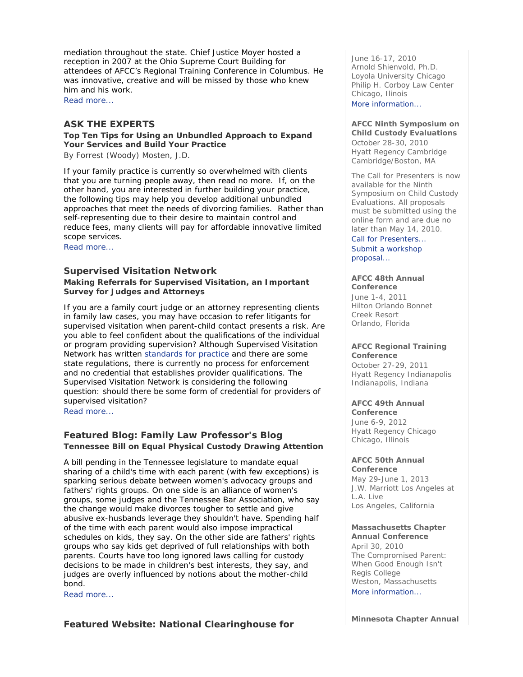mediation throughout the state. Chief Justice Moyer hosted a reception in 2007 at the Ohio Supreme Court Building for attendees of AFCC's Regional Training Conference in Columbus. He was innovative, creative and will be missed by those who knew him and his work.

Read more...

# **ASK THE EXPERTS**

**Top Ten Tips for Using an Unbundled Approach to Expand Your Services and Build Your Practice** 

*By Forrest (Woody) Mosten, J.D.* 

If your family practice is currently so overwhelmed with clients that you are turning people away, then read no more. If, on the other hand, you are interested in further building your practice, the following tips may help you develop additional unbundled approaches that meet the needs of divorcing families. Rather than self-representing due to their desire to maintain control and reduce fees, many clients will pay for affordable innovative limited scope services.

Read more...

# **Supervised Visitation Network**

**Making Referrals for Supervised Visitation, an Important Survey for Judges and Attorneys** 

If you are a family court judge or an attorney representing clients in family law cases, you may have occasion to refer litigants for supervised visitation when parent-child contact presents a risk. Are you able to feel confident about the qualifications of the individual or program providing supervision? Although Supervised Visitation Network has written standards for practice and there are some state regulations, there is currently no process for enforcement and no credential that establishes provider qualifications. The Supervised Visitation Network is considering the following question: should there be some form of credential for providers of supervised visitation?

Read more...

# **Featured Blog: Family Law Professor's Blog Tennessee Bill on Equal Physical Custody Drawing Attention**

A bill pending in the Tennessee legislature to mandate equal sharing of a child's time with each parent (with few exceptions) is sparking serious debate between women's advocacy groups and fathers' rights groups. On one side is an alliance of women's groups, some judges and the Tennessee Bar Association, who say the change would make divorces tougher to settle and give abusive ex-husbands leverage they shouldn't have. Spending half of the time with each parent would also impose impractical schedules on kids, they say. On the other side are fathers' rights groups who say kids get deprived of full relationships with both parents. Courts have too long ignored laws calling for custody decisions to be made in children's best interests, they say, and judges are overly influenced by notions about the mother-child bond.

Read more...

**Featured Website: National Clearinghouse for** 

June 16-17, 2010 Arnold Shienvold, Ph.D. Loyola University Chicago Philip H. Corboy Law Center Chicago, Ilinois

# More information...

**AFCC Ninth Symposium on Child Custody Evaluations**  October 28-30, 2010 Hyatt Regency Cambridge Cambridge/Boston, MA

The Call for Presenters is now available for the Ninth Symposium on Child Custody Evaluations. All proposals must be submitted using the online form and are due no later than May 14, 2010.

Call for Presenters... Submit a workshop proposal...

## **AFCC 48th Annual**

**Conference** June 1-4, 2011 Hilton Orlando Bonnet Creek Resort Orlando, Florida

# **AFCC Regional Training**

**Conference**  October 27-29, 2011 Hyatt Regency Indianapolis Indianapolis, Indiana

#### **AFCC 49th Annual**

**Conference** June 6-9, 2012 Hyatt Regency Chicago Chicago, Illinois

#### **AFCC 50th Annual Conference**

May 29-June 1, 2013 J.W. Marriott Los Angeles at L.A. Live Los Angeles, California

## **Massachusetts Chapter**

**Annual Conference** April 30, 2010 *The Compromised Parent: When Good Enough Isn't*  Regis College Weston, Massachusetts More information...

**Minnesota Chapter Annual**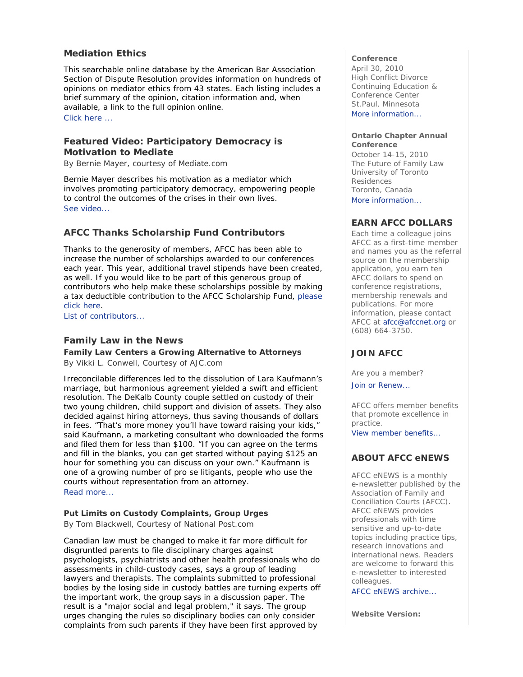# **Mediation Ethics**

This searchable online database by the American Bar Association Section of Dispute Resolution provides information on hundreds of opinions on mediator ethics from 43 states. Each listing includes a brief summary of the opinion, citation information and, when available, a link to the full opinion online.

Click here ...

# **Featured Video: Participatory Democracy is Motivation to Mediate**

*By Bernie Mayer, courtesy of Mediate.com* 

Bernie Mayer describes his motivation as a mediator which involves promoting participatory democracy, empowering people to control the outcomes of the crises in their own lives. See video...

# **AFCC Thanks Scholarship Fund Contributors**

Thanks to the generosity of members, AFCC has been able to increase the number of scholarships awarded to our conferences each year. This year, additional travel stipends have been created, as well. If you would like to be part of this generous group of contributors who help make these scholarships possible by making a tax deductible contribution to the AFCC Scholarship Fund, please click here.

List of contributors...

# **Family Law in the News**

**Family Law Centers a Growing Alternative to Attorneys**  *By Vikki L. Conwell, Courtesy of AJC.com* 

Irreconcilable differences led to the dissolution of Lara Kaufmann's marriage, but harmonious agreement yielded a swift and efficient resolution. The DeKalb County couple settled on custody of their two young children, child support and division of assets. They also decided against hiring attorneys, thus saving thousands of dollars in fees. "That's more money you'll have toward raising your kids," said Kaufmann, a marketing consultant who downloaded the forms and filed them for less than \$100. "If you can agree on the terms and fill in the blanks, you can get started without paying \$125 an hour for something you can discuss on your own." Kaufmann is one of a growing number of pro se litigants, people who use the courts without representation from an attorney. Read more...

# **Put Limits on Custody Complaints, Group Urges**

*By Tom Blackwell, Courtesy of National Post.com* 

Canadian law must be changed to make it far more difficult for disgruntled parents to file disciplinary charges against psychologists, psychiatrists and other health professionals who do assessments in child-custody cases, says a group of leading lawyers and therapists. The complaints submitted to professional bodies by the losing side in custody battles are turning experts off the important work, the group says in a discussion paper. The result is a "major social and legal problem," it says. The group urges changing the rules so disciplinary bodies can only consider complaints from such parents if they have been first approved by

#### **Conference**

April 30, 2010 *High Conflict Divorce*  Continuing Education & Conference Center St.Paul, Minnesota More information

## **Ontario Chapter Annual Conference**

October 14-15, 2010 *The Future of Family Law*  University of Toronto Residences Toronto, Canada More information

# **EARN AFCC DOLLARS**

Each time a colleague joins AFCC as a first-time member and names you as the referral source on the membership application, you earn ten AFCC dollars to spend on conference registrations, membership renewals and publications. For more information, please contact AFCC at afcc@afccnet.org or (608) 664-3750.

# **JOIN AFCC**

Are you a member?

Join or Renew...

AFCC offers member benefits that promote excellence in practice.

View member benefits...

# **ABOUT AFCC eNEWS**

*AFCC eNEWS* is a monthly e-newsletter published by the Association of Family and Conciliation Courts (AFCC). *AFCC eNEWS* provides professionals with time sensitive and up-to-date topics including practice tips, research innovations and international news. Readers are welcome to forward this e-newsletter to interested colleagues.

AFCC eNEWS archive...

**Website Version:**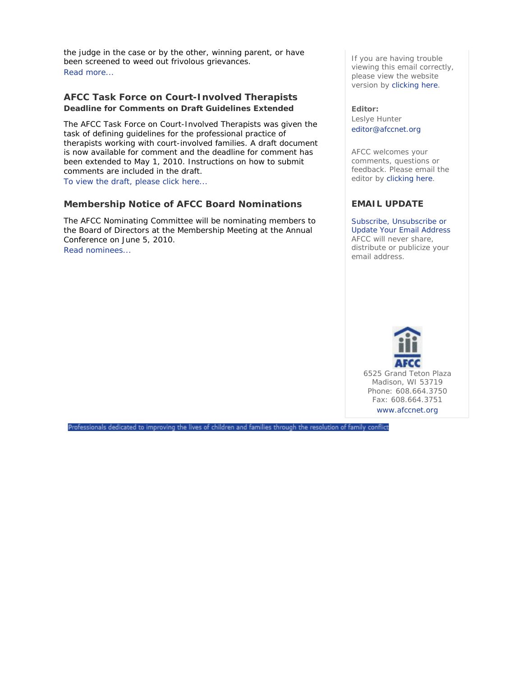the judge in the case or by the other, winning parent, or have been screened to weed out frivolous grievances. Read more...

# **AFCC Task Force on Court-Involved Therapists Deadline for Comments on Draft Guidelines Extended**

The AFCC Task Force on Court-Involved Therapists was given the task of defining guidelines for the professional practice of therapists working with court-involved families. A draft document is now available for comment and the deadline for comment has been extended to May 1, 2010. Instructions on how to submit comments are included in the draft.

To view the draft, please click here...

# **Membership Notice of AFCC Board Nominations**

The AFCC Nominating Committee will be nominating members to the Board of Directors at the Membership Meeting at the Annual Conference on June 5, 2010. Read nominees...

If you are having trouble viewing this email correctly, please view the website version by clicking here.

**Editor:**  Leslye Hunter editor@afccnet.org

AFCC welcomes your comments, questions or feedback. Please email the editor by clicking here.

# **EMAIL UPDATE**

Subscribe, Unsubscribe or Update Your Email Address AFCC will never share, distribute or publicize your email address.



Professionals dedicated to improving the lives of children and families through the resolution of family conflict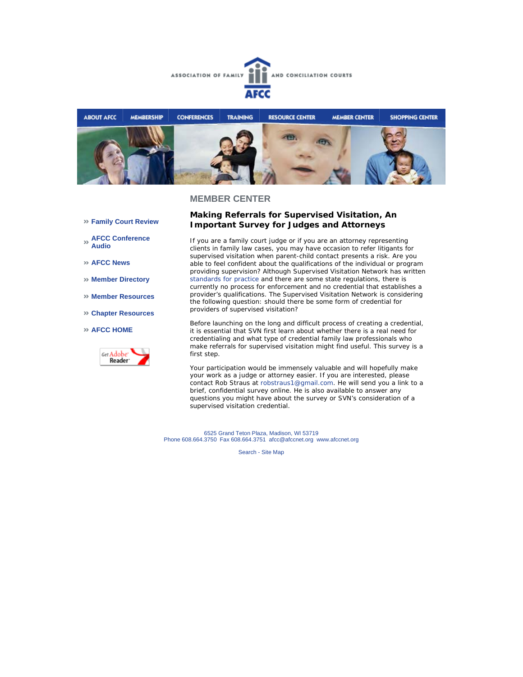



- **Family Court Review**
- **AFCC Conference Audio**
- **AFCC News**
- **Member Directory**
- **Member Resources**
- **Chapter Resources**

#### **AFCC HOME**



## **Making Referrals for Supervised Visitation, An Important Survey for Judges and Attorneys**

If you are a family court judge or if you are an attorney representing clients in family law cases, you may have occasion to refer litigants for supervised visitation when parent-child contact presents a risk. Are you able to feel confident about the qualifications of the individual or program providing supervision? Although Supervised Visitation Network has written standards for practice and there are some state regulations, there is currently no process for enforcement and no credential that establishes a provider's qualifications. The Supervised Visitation Network is considering the following question: should there be some form of credential for providers of supervised visitation?

Before launching on the long and difficult process of creating a credential, it is essential that SVN first learn about whether there is a real need for credentialing and what type of credential family law professionals who make referrals for supervised visitation might find useful. This survey is a first step.

Your participation would be immensely valuable and will hopefully make your work as a judge or attorney easier. If you are interested, please contact Rob Straus at robstraus1@gmail.com. He will send you a link to a brief, confidential survey online. He is also available to answer any questions you might have about the survey or SVN's consideration of a supervised visitation credential.

6525 Grand Teton Plaza, Madison, WI 53719 Phone 608.664.3750 Fax 608.664.3751 afcc@afccnet.org www.afccnet.org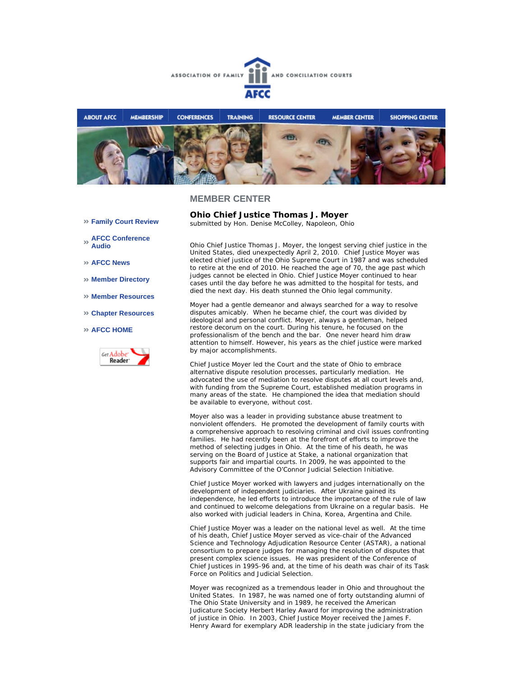



**Ohio Chief Justice Thomas J. Moyer** *submitted by Hon. Denise McColley, Napoleon, Ohio* 

## **MEMBER CENTER**

- **Family Court Review**
- **AFCC Conference Audio**
- **AFCC News**
- **Member Directory**
- **Member Resources**
- **Chapter Resources**

#### **AFCC HOME**



Ohio Chief Justice Thomas J. Moyer, the longest serving chief justice in the United States, died unexpectedly April 2, 2010. Chief Justice Moyer was elected chief justice of the Ohio Supreme Court in 1987 and was scheduled to retire at the end of 2010. He reached the age of 70, the age past which judges cannot be elected in Ohio. Chief Justice Moyer continued to hear cases until the day before he was admitted to the hospital for tests, and died the next day. His death stunned the Ohio legal community.

Moyer had a gentle demeanor and always searched for a way to resolve disputes amicably. When he became chief, the court was divided by ideological and personal conflict. Moyer, always a gentleman, helped restore decorum on the court. During his tenure, he focused on the professionalism of the bench and the bar. One never heard him draw attention to himself. However, his years as the chief justice were marked by major accomplishments.

Chief Justice Moyer led the Court and the state of Ohio to embrace alternative dispute resolution processes, particularly mediation. He advocated the use of mediation to resolve disputes at all court levels and, with funding from the Supreme Court, established mediation programs in many areas of the state. He championed the idea that mediation should be available to everyone, without cost.

Moyer also was a leader in providing substance abuse treatment to nonviolent offenders. He promoted the development of family courts with a comprehensive approach to resolving criminal and civil issues confronting families. He had recently been at the forefront of efforts to improve the method of selecting judges in Ohio. At the time of his death, he was serving on the Board of Justice at Stake, a national organization that supports fair and impartial courts. In 2009, he was appointed to the Advisory Committee of the O'Connor Judicial Selection Initiative.

Chief Justice Moyer worked with lawyers and judges internationally on the development of independent judiciaries. After Ukraine gained its independence, he led efforts to introduce the importance of the rule of law and continued to welcome delegations from Ukraine on a regular basis. He also worked with judicial leaders in China, Korea, Argentina and Chile.

Chief Justice Moyer was a leader on the national level as well. At the time of his death, Chief Justice Moyer served as vice-chair of the Advanced Science and Technology Adjudication Resource Center (ASTAR), a national consortium to prepare judges for managing the resolution of disputes that present complex science issues. He was president of the Conference of Chief Justices in 1995-96 and, at the time of his death was chair of its Task Force on Politics and Judicial Selection.

Moyer was recognized as a tremendous leader in Ohio and throughout the United States. In 1987, he was named one of forty outstanding alumni of The Ohio State University and in 1989, he received the American Judicature Society Herbert Harley Award for improving the administration of justice in Ohio. In 2003, Chief Justice Moyer received the James F. Henry Award for exemplary ADR leadership in the state judiciary from the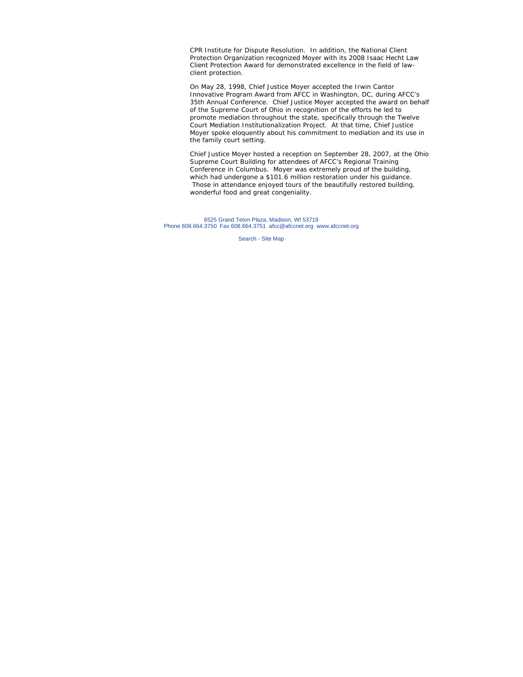CPR Institute for Dispute Resolution. In addition, the National Client Protection Organization recognized Moyer with its 2008 Isaac Hecht Law Client Protection Award for demonstrated excellence in the field of lawclient protection.

On May 28, 1998, Chief Justice Moyer accepted the Irwin Cantor Innovative Program Award from AFCC in Washington, DC, during AFCC's 35th Annual Conference. Chief Justice Moyer accepted the award on behalf of the Supreme Court of Ohio in recognition of the efforts he led to promote mediation throughout the state, specifically through the Twelve Court Mediation Institutionalization Project. At that time, Chief Justice Moyer spoke eloquently about his commitment to mediation and its use in the family court setting.

Chief Justice Moyer hosted a reception on September 28, 2007, at the Ohio Supreme Court Building for attendees of AFCC's Regional Training Conference in Columbus. Moyer was extremely proud of the building, which had undergone a \$101.6 million restoration under his guidance. Those in attendance enjoyed tours of the beautifully restored building, wonderful food and great congeniality.

6525 Grand Teton Plaza, Madison, WI 53719 Phone 608.664.3750 Fax 608.664.3751 afcc@afccnet.org www.afccnet.org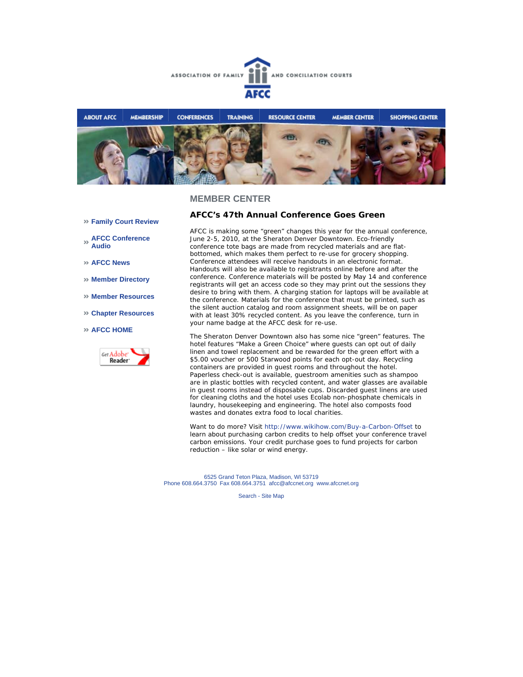



- **Family Court Review**
- **AFCC Conference Audio**
- **AFCC News**
- **Member Directory**
- **Member Resources**
- **Chapter Resources**
- **AFCC HOME**



## **AFCC's 47th Annual Conference Goes Green**

AFCC is making some "green" changes this year for the annual conference, June 2-5, 2010, at the Sheraton Denver Downtown. Eco-friendly conference tote bags are made from recycled materials and are flatbottomed, which makes them perfect to re-use for grocery shopping. Conference attendees will receive handouts in an electronic format. Handouts will also be available to registrants online before and after the conference. Conference materials will be posted by May 14 and conference registrants will get an access code so they may print out the sessions they desire to bring with them. A charging station for laptops will be available at the conference. Materials for the conference that must be printed, such as the silent auction catalog and room assignment sheets, will be on paper with at least 30% recycled content. As you leave the conference, turn in your name badge at the AFCC desk for re-use.

The Sheraton Denver Downtown also has some nice "green" features. The hotel features "Make a Green Choice" where guests can opt out of daily linen and towel replacement and be rewarded for the green effort with a \$5.00 voucher or 500 Starwood points for each opt-out day. Recycling containers are provided in guest rooms and throughout the hotel. Paperless check-out is available, guestroom amenities such as shampoo are in plastic bottles with recycled content, and water glasses are available in guest rooms instead of disposable cups. Discarded guest linens are used for cleaning cloths and the hotel uses Ecolab non-phosphate chemicals in laundry, housekeeping and engineering. The hotel also composts food wastes and donates extra food to local charities.

Want to do more? Visit http://www.wikihow.com/Buy-a-Carbon-Offset to learn about purchasing carbon credits to help offset your conference travel carbon emissions. Your credit purchase goes to fund projects for carbon reduction – like solar or wind energy.

6525 Grand Teton Plaza, Madison, WI 53719 Phone 608.664.3750 Fax 608.664.3751 afcc@afccnet.org www.afccnet.org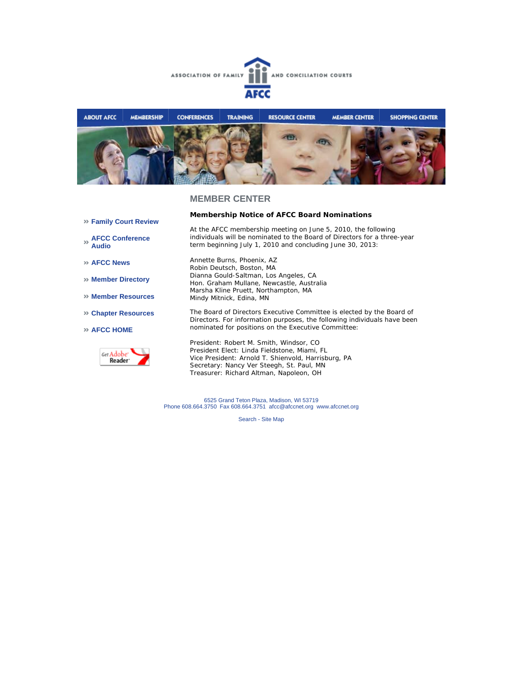



- **Family Court Review**
- **AFCC Conference Audio**
- **AFCC News**
- **Member Directory**
- **Member Resources**
- **Chapter Resources**
- **AFCC HOME**



Annette Burns, Phoenix, AZ Robin Deutsch, Boston, MA Dianna Gould-Saltman, Los Angeles, CA Hon. Graham Mullane, Newcastle, Australia Marsha Kline Pruett, Northampton, MA Mindy Mitnick, Edina, MN

**Membership Notice of AFCC Board Nominations**

term beginning July 1, 2010 and concluding June 30, 2013:

At the AFCC membership meeting on June 5, 2010, the following individuals will be nominated to the Board of Directors for a three-year

The Board of Directors Executive Committee is elected by the Board of Directors. For information purposes, the following individuals have been nominated for positions on the Executive Committee:

President: Robert M. Smith, Windsor, CO President Elect: Linda Fieldstone, Miami, FL Vice President: Arnold T. Shienvold, Harrisburg, PA Secretary: Nancy Ver Steegh, St. Paul, MN Treasurer: Richard Altman, Napoleon, OH

6525 Grand Teton Plaza, Madison, WI 53719 Phone 608.664.3750 Fax 608.664.3751 afcc@afccnet.org www.afccnet.org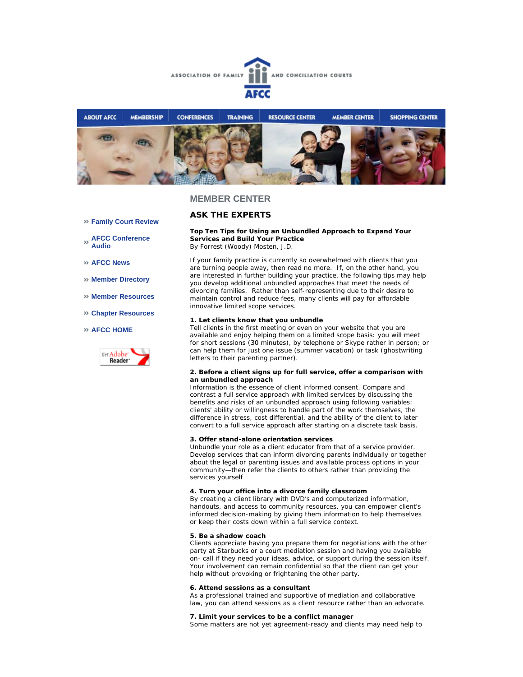



# **ASK THE EXPERTS**

- **Family Court Review**
- **AFCC Conference Audio**
- **AFCC News**
- **Member Directory**
- **Member Resources**
- **Chapter Resources**

#### **AFCC HOME**



**Top Ten Tips for Using an Unbundled Approach to Expand Your Services and Build Your Practice**  *By Forrest (Woody) Mosten, J.D.* 

If your family practice is currently so overwhelmed with clients that you are turning people away, then read no more. If, on the other hand, you are interested in further building your practice, the following tips may help you develop additional unbundled approaches that meet the needs of divorcing families. Rather than self-representing due to their desire to maintain control and reduce fees, many clients will pay for affordable innovative limited scope services.

#### **1. Let clients know that you unbundle**

Tell clients in the first meeting or even on your website that you are available and enjoy helping them on a limited scope basis: you will meet for short sessions (30 minutes), by telephone or Skype rather in person; or can help them for just one issue (summer vacation) or task (ghostwriting letters to their parenting partner).

#### **2. Before a client signs up for full service, offer a comparison with an unbundled approach**

Information is the essence of client informed consent. Compare and contrast a full service approach with limited services by discussing the benefits and risks of an unbundled approach using following variables: clients' ability or willingness to handle part of the work themselves, the difference in stress, cost differential, and the ability of the client to later convert to a full service approach after starting on a discrete task basis.

#### **3. Offer stand-alone orientation services**

Unbundle your role as a client educator from that of a service provider. Develop services that can inform divorcing parents individually or together about the legal or parenting issues and available process options in your community—then refer the clients to others rather than providing the services yourself

#### **4. Turn your office into a divorce family classroom**

By creating a client library with DVD's and computerized information, handouts, and access to community resources, you can empower client's informed decision-making by giving them information to help themselves or keep their costs down within a full service context.

#### **5. Be a shadow coach**

Clients appreciate having you prepare them for negotiations with the other party at Starbucks or a court mediation session and having you available on- call if they need your ideas, advice, or support during the session itself. Your involvement can remain confidential so that the client can get your help without provoking or frightening the other party.

#### **6. Attend sessions as a consultant**

As a professional trained and supportive of mediation and collaborative law, you can attend sessions as a client resource rather than an advocate.

#### **7. Limit your services to be a conflict manager**

Some matters are not yet agreement-ready and clients may need help to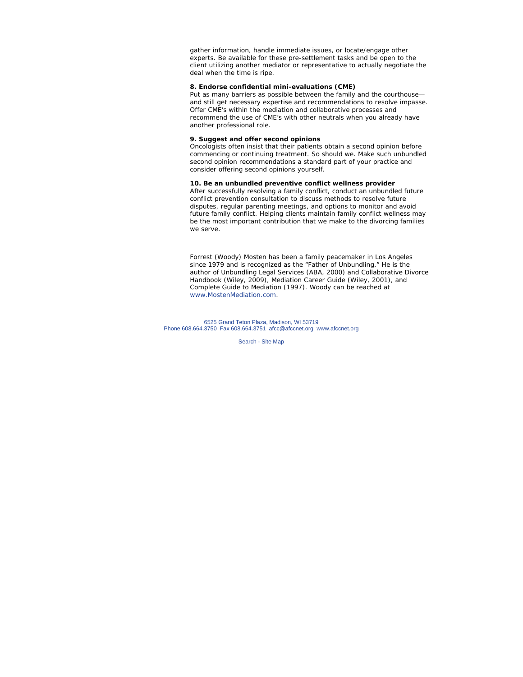gather information, handle immediate issues, or locate/engage other experts. Be available for these pre-settlement tasks and be open to the client utilizing another mediator or representative to actually negotiate the deal when the time is ripe.

#### **8. Endorse confidential mini-evaluations (CME)**

Put as many barriers as possible between the family and the courthouse and still get necessary expertise and recommendations to resolve impasse. Offer CME's within the mediation and collaborative processes and recommend the use of CME's with other neutrals when you already have another professional role.

#### **9. Suggest and offer second opinions**

Oncologists often insist that their patients obtain a second opinion before commencing or continuing treatment. So should we. Make such unbundled second opinion recommendations a standard part of your practice and consider offering second opinions yourself.

## **10. Be an unbundled preventive conflict wellness provider**

After successfully resolving a family conflict, conduct an unbundled future conflict prevention consultation to discuss methods to resolve future disputes, regular parenting meetings, and options to monitor and avoid future family conflict. Helping clients maintain family conflict wellness may be the most important contribution that we make to the divorcing families we serve.

Forrest (Woody) Mosten has been a family peacemaker in Los Angeles since 1979 and is recognized as the "Father of Unbundling." He is the author of *Unbundling Legal Services* (ABA, 2000) and *Collaborative Divorce Handbook* (Wiley, 2009), *Mediation Career Guide* (Wiley, 2001), and *Complete Guide to Mediation* (1997). Woody can be reached at www.MostenMediation.com.

6525 Grand Teton Plaza, Madison, WI 53719 Phone 608.664.3750 Fax 608.664.3751 afcc@afccnet.org www.afccnet.org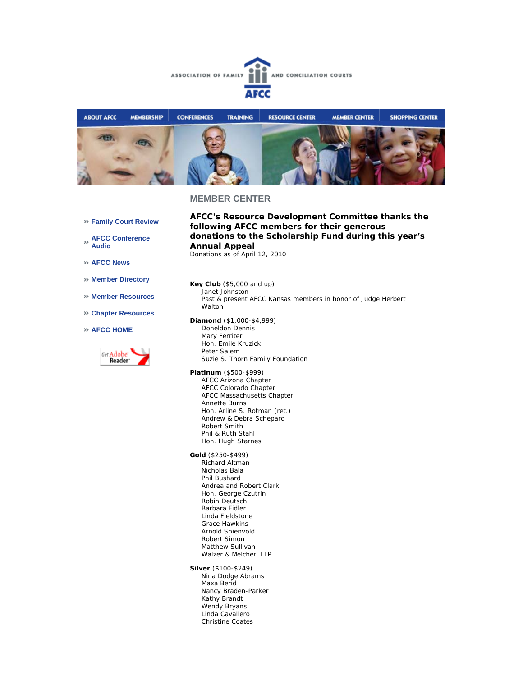



- **Family Court Review**
- **AFCC Conference Audio**
- **AFCC News**
- **Member Directory**
- **Member Resources**
- **Chapter Resources**
- **AFCC HOME**



- **AFCC's Resource Development Committee thanks the following AFCC members for their generous donations to the Scholarship Fund during this year's Annual Appeal**  *Donations as of April 12, 2010*
- **Key Club** (\$5,000 and up) Janet Johnston Past & present AFCC Kansas members in honor of Judge Herbert Walton
- **Diamond** (\$1,000-\$4,999) Doneldon Dennis Mary Ferriter Hon. Emile Kruzick Peter Salem
	- Suzie S. Thorn Family Foundation
- **Platinum** (\$500-\$999) AFCC Arizona Chapter AFCC Colorado Chapter AFCC Massachusetts Chapter Annette Burns Hon. Arline S. Rotman (ret.) Andrew & Debra Schepard Robert Smith Phil & Ruth Stahl Hon. Hugh Starnes
- **Gold** (\$250-\$499) Richard Altman Nicholas Bala Phil Bushard Andrea and Robert Clark Hon. George Czutrin Robin Deutsch Barbara Fidler Linda Fieldstone Grace Hawkins Arnold Shienvold Robert Simon Matthew Sullivan Walzer & Melcher, LLP
- **Silver** (\$100-\$249) Nina Dodge Abrams Maxa Berid Nancy Braden-Parker Kathy Brandt Wendy Bryans Linda Cavallero Christine Coates